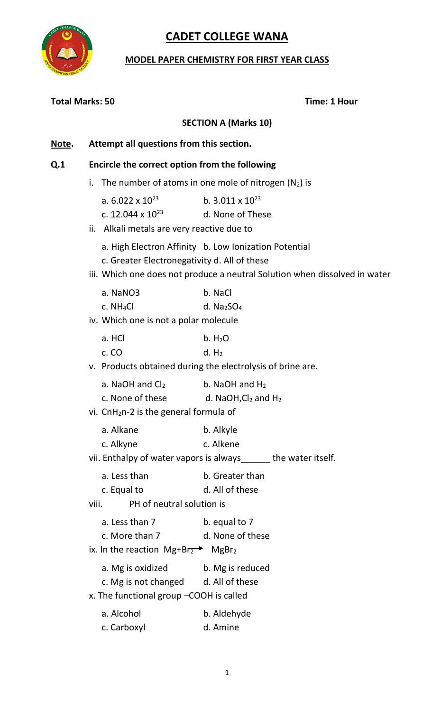

### **MODEL PAPER CHEMISTRY FOR FIRST YEAR CLASS**

| <b>Total Marks: 50</b> |                                                                                                                       | Time: 1 Hour                                                                                                                        |
|------------------------|-----------------------------------------------------------------------------------------------------------------------|-------------------------------------------------------------------------------------------------------------------------------------|
|                        |                                                                                                                       | <b>SECTION A (Marks 10)</b>                                                                                                         |
| Note.                  | Attempt all questions from this section.                                                                              |                                                                                                                                     |
| Q <sub>1</sub>         | Encircle the correct option from the following                                                                        |                                                                                                                                     |
|                        | i.                                                                                                                    | The number of atoms in one mole of nitrogen $(N_2)$ is                                                                              |
|                        | a. $6.022 \times 10^{23}$<br>c. 12.044 x $10^{23}$<br>Alkali metals are very reactive due to<br>ii.                   | b. $3.011 \times 10^{23}$<br>d. None of These                                                                                       |
|                        | c. Greater Electronegativity d. All of these                                                                          | a. High Electron Affinity b. Low Ionization Potential<br>iii. Which one does not produce a neutral Solution when dissolved in water |
|                        | a. NaNO3<br>c. NH <sub>4</sub> Cl<br>iv. Which one is not a polar molecule                                            | b. NaCl<br>d. $Na2SO4$                                                                                                              |
|                        | a. HCl<br>c. CO                                                                                                       | b. H <sub>2</sub> O<br>d. H <sub>2</sub><br>v. Products obtained during the electrolysis of brine are.                              |
|                        | a. NaOH and $Cl2$<br>c. None of these<br>vi. CnH <sub>2</sub> n-2 is the general formula of                           | b. NaOH and $H_2$<br>d. NaOH, $Cl2$ and $H2$                                                                                        |
|                        | a. Alkane<br>c. Alkyne                                                                                                | b. Alkyle<br>c. Alkene<br>vii. Enthalpy of water vapors is always______ the water itself.                                           |
|                        | a. Less than<br>c. Equal to<br>PH of neutral solution is<br>viii.                                                     | b. Greater than<br>d. All of these                                                                                                  |
|                        | a. Less than 7<br>c. More than 7<br>ix. In the reaction $Mg + Br_2$ MgBr <sub>2</sub>                                 | b. equal to 7<br>d. None of these                                                                                                   |
|                        | a. Mg is oxidized b. Mg is reduced<br>c. Mg is not changed d. All of these<br>x. The functional group -COOH is called |                                                                                                                                     |
|                        | a. Alcohol<br>c. Carboxyl                                                                                             | b. Aldehyde<br>d. Amine                                                                                                             |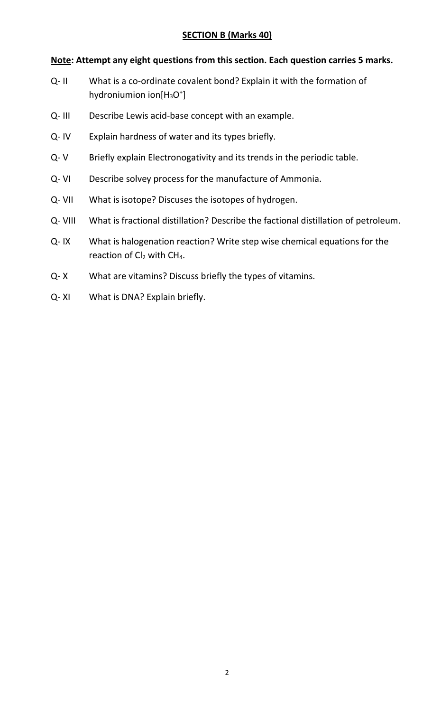#### **Note: Attempt any eight questions from this section. Each question carries 5 marks.**

- Q- II What is a co-ordinate covalent bond? Explain it with the formation of hydroniumion ion[H<sub>3</sub>O<sup>+</sup>]
- Q- III Describe Lewis acid-base concept with an example.
- Q- IV Explain hardness of water and its types briefly.
- Q- V Briefly explain Electronogativity and its trends in the periodic table.
- Q- VI Describe solvey process for the manufacture of Ammonia.
- Q- VII What is isotope? Discuses the isotopes of hydrogen.
- Q- VIII What is fractional distillation? Describe the factional distillation of petroleum.
- Q- IX What is halogenation reaction? Write step wise chemical equations for the reaction of  $Cl<sub>2</sub>$  with CH<sub>4</sub>.
- Q- X What are vitamins? Discuss briefly the types of vitamins.
- Q- XI What is DNA? Explain briefly.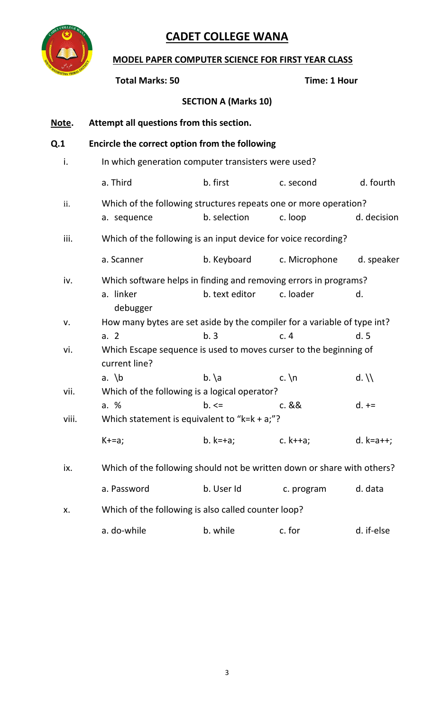

# **MODEL PAPER COMPUTER SCIENCE FOR FIRST YEAR CLASS**

|       | <b>Total Marks: 50</b>                         |                                                                          | <b>Time: 1 Hour</b> |                            |
|-------|------------------------------------------------|--------------------------------------------------------------------------|---------------------|----------------------------|
|       |                                                | <b>SECTION A (Marks 10)</b>                                              |                     |                            |
| Note. | Attempt all questions from this section.       |                                                                          |                     |                            |
| Q.1   | Encircle the correct option from the following |                                                                          |                     |                            |
| i.    |                                                | In which generation computer transisters were used?                      |                     |                            |
|       | a. Third                                       | b. first                                                                 | c. second           | d. fourth                  |
| ii.   |                                                | Which of the following structures repeats one or more operation?         |                     |                            |
|       | a. sequence                                    | b. selection                                                             | c. loop             | d. decision                |
| iii.  |                                                | Which of the following is an input device for voice recording?           |                     |                            |
|       | a. Scanner                                     | b. Keyboard                                                              | c. Microphone       | d. speaker                 |
| iv.   |                                                | Which software helps in finding and removing errors in programs?         |                     |                            |
|       | a. linker<br>debugger                          | b. text editor                                                           | c. loader           | d.                         |
| ٧.    |                                                | How many bytes are set aside by the compiler for a variable of type int? |                     |                            |
|       | a. 2                                           | b.3                                                                      | c.4                 | d.5                        |
| vi.   | current line?                                  | Which Escape sequence is used to moves curser to the beginning of        |                     |                            |
|       | a. $\mathsf{b}$                                | $b. \ a$                                                                 | c. $\ln$            | $d. \backslash \backslash$ |
| vii.  |                                                | Which of the following is a logical operator?                            |                     |                            |
|       | a. %                                           | $b. \leq$                                                                | c. &&               | $d. +=$                    |
| viii. |                                                | Which statement is equivalent to " $k=k + a$ "?                          |                     |                            |
|       | $K+=a;$                                        | $b. k=+a;$                                                               | c. $k++a$ ;         | $d. k=a++;$                |
| ix.   |                                                | Which of the following should not be written down or share with others?  |                     |                            |
|       | a. Password                                    | b. User Id                                                               | c. program          | d. data                    |
| Х.    |                                                | Which of the following is also called counter loop?                      |                     |                            |
|       | a. do-while                                    | b. while                                                                 | c. for              | d. if-else                 |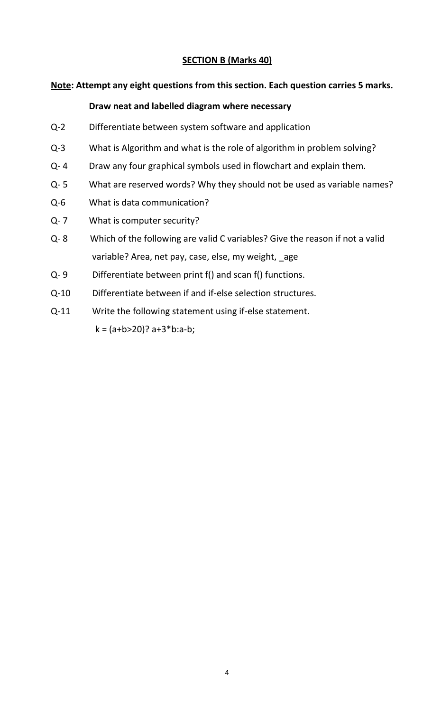#### **Note: Attempt any eight questions from this section. Each question carries 5 marks.**

#### **Draw neat and labelled diagram where necessary**

- Q-2 Differentiate between system software and application
- Q-3 What is Algorithm and what is the role of algorithm in problem solving?
- Q- 4 Draw any four graphical symbols used in flowchart and explain them.
- Q- 5 What are reserved words? Why they should not be used as variable names?
- Q-6 What is data communication?
- Q- 7 What is computer security?
- Q- 8 Which of the following are valid C variables? Give the reason if not a valid variable? Area, net pay, case, else, my weight, \_age
- Q- 9 Differentiate between print f() and scan f() functions.
- Q-10 Differentiate between if and if-else selection structures.
- Q-11 Write the following statement using if-else statement.  $k = (a+b>20)? a+3*b:a-b;$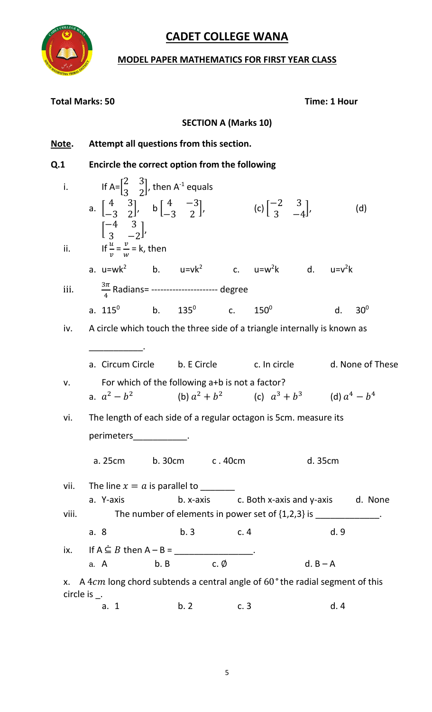

### **MODEL PAPER MATHEMATICS FOR FIRST YEAR CLASS**

| <b>Total Marks: 50</b>                     |                                                                                                                                                                                                                                                                                                            |                     |                             |                                                                                                                                      |            | <b>Time: 1 Hour</b> |                  |
|--------------------------------------------|------------------------------------------------------------------------------------------------------------------------------------------------------------------------------------------------------------------------------------------------------------------------------------------------------------|---------------------|-----------------------------|--------------------------------------------------------------------------------------------------------------------------------------|------------|---------------------|------------------|
|                                            |                                                                                                                                                                                                                                                                                                            |                     | <b>SECTION A (Marks 10)</b> |                                                                                                                                      |            |                     |                  |
| <u>Note</u> .                              | Attempt all questions from this section.                                                                                                                                                                                                                                                                   |                     |                             |                                                                                                                                      |            |                     |                  |
| Q.1                                        | Encircle the correct option from the following                                                                                                                                                                                                                                                             |                     |                             |                                                                                                                                      |            |                     |                  |
| i.                                         | If A= $\begin{bmatrix} 2 & 3 \\ 3 & 2 \end{bmatrix}$ , then A <sup>-1</sup> equals<br>a. $\begin{bmatrix} 4 & 3 \\ -3 & 2 \end{bmatrix}$ , b $\begin{bmatrix} 4 & -3 \\ -3 & 2 \end{bmatrix}$ , (c) $\begin{bmatrix} -2 & 3 \\ 3 & -4 \end{bmatrix}$ ,<br>$\begin{bmatrix} -4 & 3 \\ 3 & -2 \end{bmatrix}$ |                     |                             |                                                                                                                                      |            |                     | (d)              |
|                                            | ii. If $\frac{u}{v} = \frac{v}{w} = k$ , then<br>a. $u=wk^2$ b. $u=vk^2$ c. $u= w^2k$ d. $u= v^2k$                                                                                                                                                                                                         |                     |                             |                                                                                                                                      |            |                     |                  |
| iii.                                       | $\frac{3\pi}{4}$ Radians= ---------------------- degree                                                                                                                                                                                                                                                    |                     |                             |                                                                                                                                      |            |                     |                  |
|                                            | a. $115^0$ b. $135^0$ c.                                                                                                                                                                                                                                                                                   |                     |                             | $150^0$                                                                                                                              |            | d.                  | $30^0$           |
| iv.                                        | A circle which touch the three side of a triangle internally is known as                                                                                                                                                                                                                                   |                     |                             |                                                                                                                                      |            |                     |                  |
|                                            | a. Circum Circle b. E Circle c. In circle                                                                                                                                                                                                                                                                  |                     |                             |                                                                                                                                      |            |                     | d. None of These |
| v.                                         | a. $a^2 - b^2$                                                                                                                                                                                                                                                                                             |                     |                             | For which of the following a+b is not a factor?<br>(b) $a^2 + b^2$ (c) $a^3 + b^3$ (d) $a^4 - b^4$                                   |            |                     |                  |
| vi.                                        | The length of each side of a regular octagon is 5cm. measure its                                                                                                                                                                                                                                           |                     |                             |                                                                                                                                      |            |                     |                  |
|                                            | perimeters_____________.                                                                                                                                                                                                                                                                                   |                     |                             |                                                                                                                                      |            |                     |                  |
|                                            | a. 25cm b. 30cm c. 40cm                                                                                                                                                                                                                                                                                    |                     |                             |                                                                                                                                      | d. 35cm    |                     |                  |
| vii.                                       | The line $x = a$ is parallel to ________                                                                                                                                                                                                                                                                   |                     |                             |                                                                                                                                      |            |                     |                  |
| viii.                                      | a. Y-axis                                                                                                                                                                                                                                                                                                  |                     |                             | b. x-axis c. Both x-axis and y-axis d. None<br>The number of elements in power set of $\{1,2,3\}$ is $\frac{1}{2}$ = $\frac{1}{2}$ . |            |                     |                  |
|                                            | a. 8                                                                                                                                                                                                                                                                                                       | b.3                 | c.4                         |                                                                                                                                      |            | d. 9                |                  |
|                                            | ix. If A $\subseteq$ B then A – B = ___________________.                                                                                                                                                                                                                                                   |                     |                             |                                                                                                                                      |            |                     |                  |
|                                            | a. A                                                                                                                                                                                                                                                                                                       | b. B c. $\emptyset$ |                             |                                                                                                                                      | $d. B - A$ |                     |                  |
| X.<br>circle is $\overline{\phantom{a}}$ . | A 4 $cm$ long chord subtends a central angle of $60^{\circ}$ the radial segment of this                                                                                                                                                                                                                    |                     |                             |                                                                                                                                      |            |                     |                  |
|                                            | a. 1                                                                                                                                                                                                                                                                                                       | b. 2 c. 3           |                             |                                                                                                                                      |            | d.4                 |                  |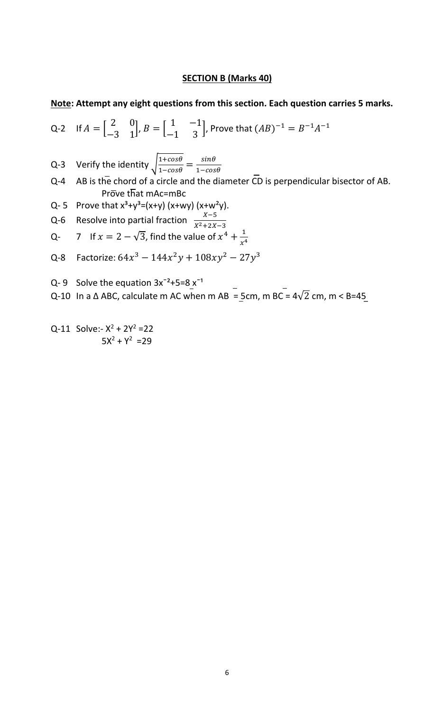#### **Note: Attempt any eight questions from this section. Each question carries 5 marks.**

Q-2 If 
$$
A = \begin{bmatrix} 2 & 0 \ -3 & 1 \end{bmatrix}
$$
,  $B = \begin{bmatrix} 1 & -1 \ -1 & 3 \end{bmatrix}$ , Prove that  $(AB)^{-1} = B^{-1}A^{-1}$ 

Q-3 Verify the identity  $\sqrt{\frac{1+cos\theta}{1-cos\theta}} = \frac{sin\theta}{1-cos\theta}$  $1 - cos\theta$ 

- Q-4 AB is the chord of a circle and the diameter CD is perpendicular bisector of AB. Prove that mAc=mBc
- Q-5 Prove that  $x^3+y^3=(x+y)(x+wy)(x+w^2y)$ .
- Q-6 Resolve into partial fraction  $\frac{X-5}{X^2+2X-3}$

Q- 7 If 
$$
x = 2 - \sqrt{3}
$$
, find the value of  $x^4 + \frac{1}{x^4}$ 

- Q-8 Factorize:  $64x^3 144x^2y + 108xy^2 27y^3$
- Q-9 Solve the equation  $3x^{-2}+5=8x^{-1}$
- Q-10 In a  $\triangle$  ABC, calculate m AC when m AB = 5cm, m BC =  $4\sqrt{2}$  cm, m < B=45

 $Q-11$  Solve:-  $X^2 + 2Y^2 = 22$  $5X^2 + Y^2 = 29$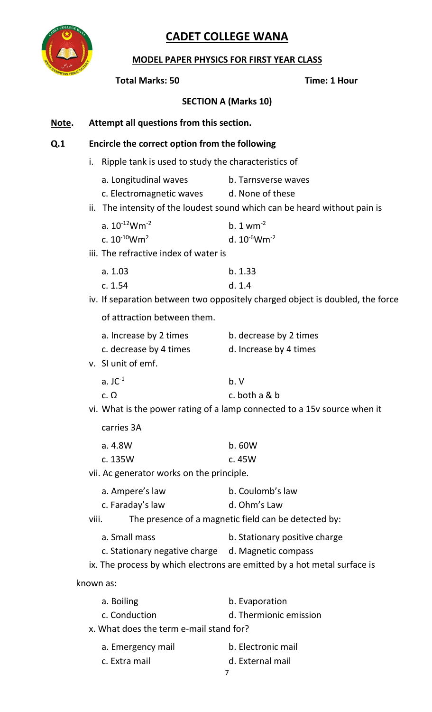

#### **MODEL PAPER PHYSICS FOR FIRST YEAR CLASS**

#### **Total Marks: 50 Time: 1 Hour**

**SECTION A (Marks 10)**

#### **Note. Attempt all questions from this section.**

#### **Q.1 Encircle the correct option from the following**

- i. Ripple tank is used to study the characteristics of
	- a. Longitudinal waves b. Tarnsverse waves
	- c. Electromagnetic waves d. None of these
- ii. The intensity of the loudest sound which can be heard without pain is

| a. $10^{-12}$ Wm <sup>-2</sup> | b. 1 $\text{w} \text{m}^{-2}$ |
|--------------------------------|-------------------------------|
| c. $10^{-10}$ Wm <sup>2</sup>  | d. $10^{-6}$ Wm <sup>-2</sup> |

iii. The refractive index of water is

| a. 1.03 | b. 1.33 |
|---------|---------|
| c. 1.54 | d. 1.4  |

iv. If separation between two oppositely charged object is doubled, the force

of attraction between them.

| a. Increase by 2 times | b. decrease by 2 times |
|------------------------|------------------------|
| c. decrease by 4 times | d. Increase by 4 times |
| SI unit of emf.        |                        |
|                        |                        |

| $a.$ JC $^{-1}$ | b. V          |
|-----------------|---------------|
| c. $\Omega$     | c. both a & b |

vi. What is the power rating of a lamp connected to a 15v source when it

carries 3A

 $V<sub>1</sub>$ 

| a. 4.8W | b.60W    |
|---------|----------|
| c. 135W | c. $45W$ |

vii. Ac generator works on the principle.

| a. Ampere's law  | b. Coulomb's law |
|------------------|------------------|
| c. Faraday's law | d. Ohm's Law     |

viii. The presence of a magnetic field can be detected by:

- a. Small mass b. Stationary positive charge
- c. Stationary negative charge d. Magnetic compass

ix. The process by which electrons are emitted by a hot metal surface is

known as:

| a. Boiling                              | b. Evaporation         |  |
|-----------------------------------------|------------------------|--|
| c. Conduction                           | d. Thermionic emission |  |
| x. What does the term e-mail stand for? |                        |  |
| a. Emergency mail                       | b. Electronic mail     |  |

c. Extra mail d. External mail

7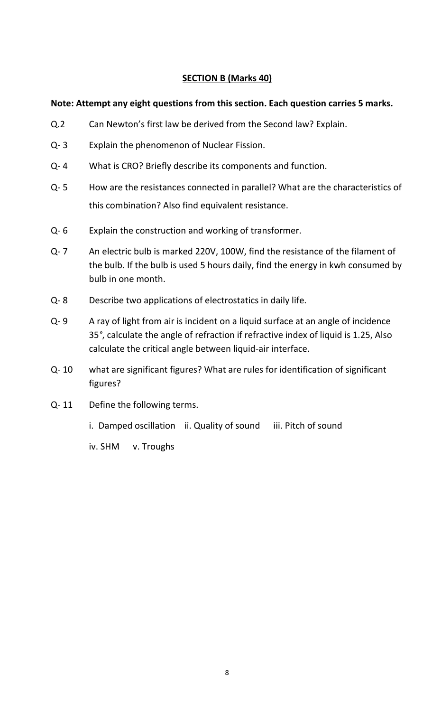#### **Note: Attempt any eight questions from this section. Each question carries 5 marks.**

- Q.2 Can Newton's first law be derived from the Second law? Explain.
- Q- 3 Explain the phenomenon of Nuclear Fission.
- Q- 4 What is CRO? Briefly describe its components and function.
- Q- 5 How are the resistances connected in parallel? What are the characteristics of this combination? Also find equivalent resistance.
- Q- 6 Explain the construction and working of transformer.
- Q- 7 An electric bulb is marked 220V, 100W, find the resistance of the filament of the bulb. If the bulb is used 5 hours daily, find the energy in kwh consumed by bulb in one month.
- Q- 8 Describe two applications of electrostatics in daily life.
- Q- 9 A ray of light from air is incident on a liquid surface at an angle of incidence 35*°*, calculate the angle of refraction if refractive index of liquid is 1.25, Also calculate the critical angle between liquid-air interface.
- Q- 10 what are significant figures? What are rules for identification of significant figures?
- Q- 11 Define the following terms.
	- i. Damped oscillation ii. Quality of sound iii. Pitch of sound

iv. SHM v. Troughs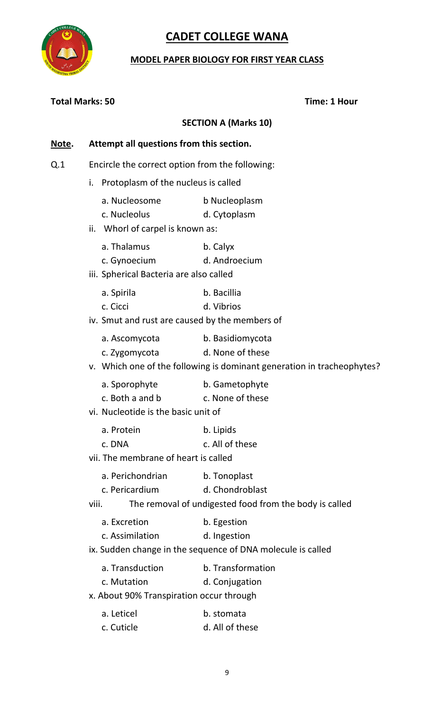

### **MODEL PAPER BIOLOGY FOR FIRST YEAR CLASS**

| <b>Total Marks: 50</b> |                                                                            | Time: 1 Hour                                                                                                   |
|------------------------|----------------------------------------------------------------------------|----------------------------------------------------------------------------------------------------------------|
|                        |                                                                            | <b>SECTION A (Marks 10)</b>                                                                                    |
| <u>Note</u> .          | Attempt all questions from this section.                                   |                                                                                                                |
| Q <sub>1</sub>         | Encircle the correct option from the following:                            |                                                                                                                |
|                        | i. Protoplasm of the nucleus is called                                     |                                                                                                                |
|                        | a. Nucleosome<br>c. Nucleolus<br>ii. Whorl of carpel is known as:          | b Nucleoplasm<br>d. Cytoplasm                                                                                  |
|                        | a. Thalamus<br>c. Gynoecium<br>iii. Spherical Bacteria are also called     | b. Calyx<br>d. Androecium                                                                                      |
|                        | a. Spirila<br>c. Cicci<br>iv. Smut and rust are caused by the members of   | b. Bacillia<br>d. Vibrios                                                                                      |
|                        | a. Ascomycota<br>c. Zygomycota                                             | b. Basidiomycota<br>d. None of these<br>v. Which one of the following is dominant generation in tracheophytes? |
|                        | a. Sporophyte<br>c. Both a and b<br>vi. Nucleotide is the basic unit of    | b. Gametophyte<br>c. None of these                                                                             |
|                        | a. Protein<br>c. DNA<br>vii. The membrane of heart is called               | b. Lipids<br>c. All of these                                                                                   |
|                        | a. Perichondrian<br>c. Pericardium<br>viii.                                | b. Tonoplast<br>d. Chondroblast<br>The removal of undigested food from the body is called                      |
|                        | a. Excretion<br>c. Assimilation                                            | b. Egestion<br>d. Ingestion<br>ix. Sudden change in the sequence of DNA molecule is called                     |
|                        | a. Transduction<br>c. Mutation<br>x. About 90% Transpiration occur through | b. Transformation<br>d. Conjugation                                                                            |
|                        | a. Leticel<br>c. Cuticle                                                   | b. stomata<br>d. All of these                                                                                  |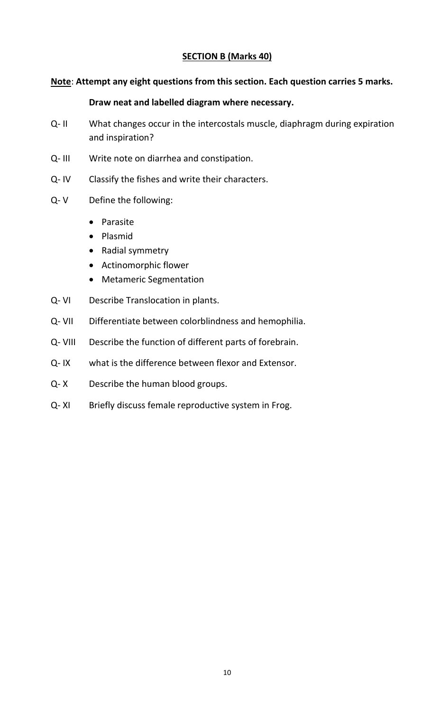#### **Note**: **Attempt any eight questions from this section. Each question carries 5 marks.**

#### **Draw neat and labelled diagram where necessary.**

- Q- II What changes occur in the intercostals muscle, diaphragm during expiration and inspiration?
- Q- III Write note on diarrhea and constipation.
- Q- IV Classify the fishes and write their characters.
- Q- V Define the following:
	- Parasite
	- Plasmid
	- Radial symmetry
	- Actinomorphic flower
	- Metameric Segmentation
- Q- VI Describe Translocation in plants.
- Q- VII Differentiate between colorblindness and hemophilia.
- Q- VIII Describe the function of different parts of forebrain.
- Q- IX what is the difference between flexor and Extensor.
- Q- X Describe the human blood groups.
- Q- XI Briefly discuss female reproductive system in Frog.